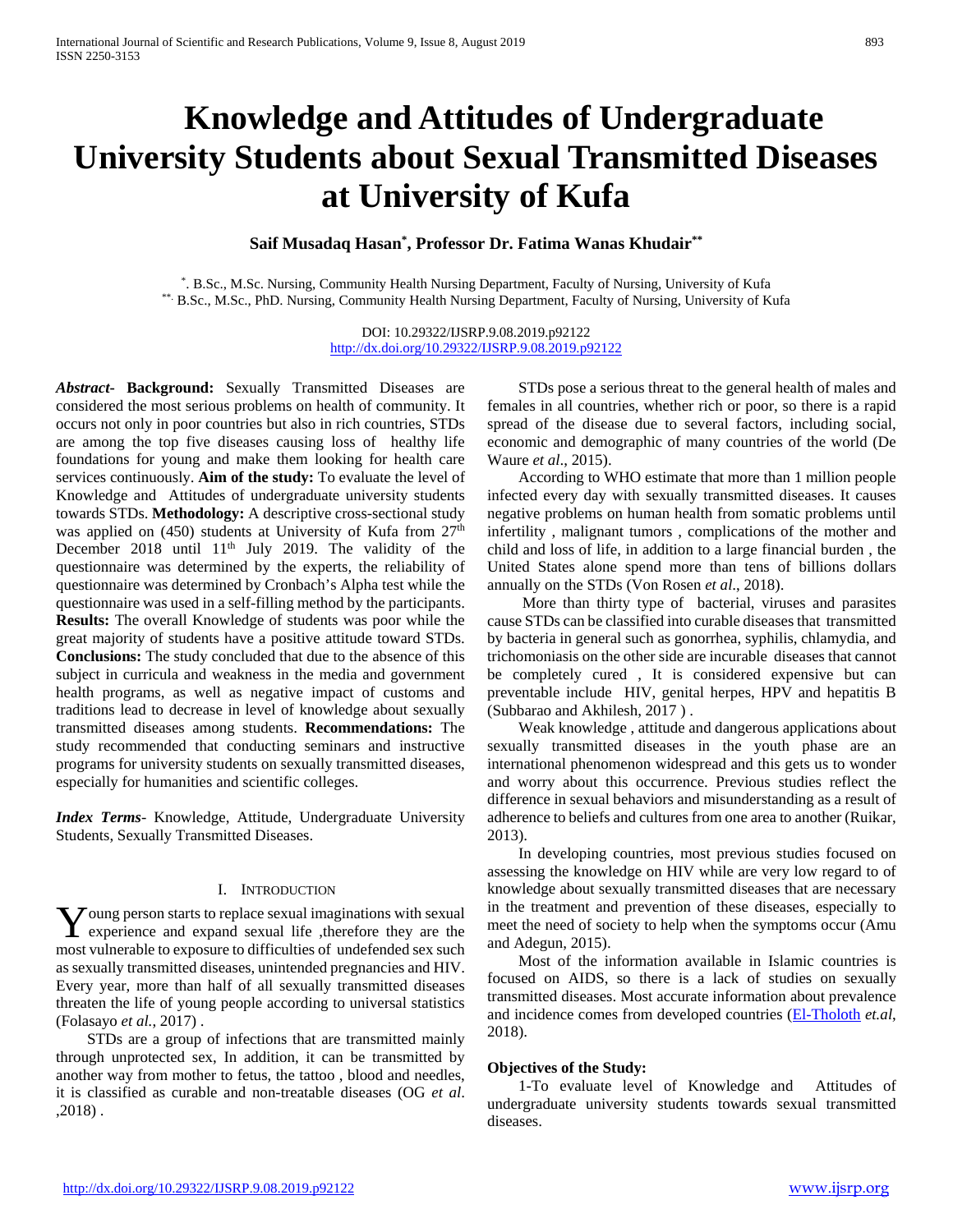# **Knowledge and Attitudes of Undergraduate University Students about Sexual Transmitted Diseases at University of Kufa**

# **Saif Musadaq Hasan\* , Professor Dr. Fatima Wanas Khudair\*\***

\*. B.Sc., M.Sc. Nursing, Community Health Nursing Department, Faculty of Nursing, University of Kufa \*\*. B.Sc., M.Sc., PhD. Nursing, Community Health Nursing Department, Faculty of Nursing, University of Kufa

> DOI: 10.29322/IJSRP.9.08.2019.p92122 <http://dx.doi.org/10.29322/IJSRP.9.08.2019.p92122>

*Abstract***- Background:** Sexually Transmitted Diseases are considered the most serious problems on health of community. It occurs not only in poor countries but also in rich countries, STDs are among the top five diseases causing loss of healthy life foundations for young and make them looking for health care services continuously. **Aim of the study:** To evaluate the level of Knowledge and Attitudes of undergraduate university students towards STDs. **Methodology:** A descriptive cross-sectional study was applied on (450) students at University of Kufa from  $27<sup>th</sup>$ December 2018 until 11<sup>th</sup> July 2019. The validity of the questionnaire was determined by the experts, the reliability of questionnaire was determined by Cronbach's Alpha test while the questionnaire was used in a self-filling method by the participants. **Results:** The overall Knowledge of students was poor while the great majority of students have a positive attitude toward STDs. **Conclusions:** The study concluded that due to the absence of this subject in curricula and weakness in the media and government health programs, as well as negative impact of customs and traditions lead to decrease in level of knowledge about sexually transmitted diseases among students. **Recommendations:** The study recommended that conducting seminars and instructive programs for university students on sexually transmitted diseases, especially for humanities and scientific colleges.

*Index Terms*- Knowledge, Attitude, Undergraduate University Students, Sexually Transmitted Diseases.

#### I. INTRODUCTION

Young person starts to replace sexual imaginations with sexual experience and expand sexual life , therefore they are the experience and expand sexual life ,therefore they are the most vulnerable to exposure to difficulties of undefended sex such as sexually transmitted diseases, unintended pregnancies and HIV. Every year, more than half of all sexually transmitted diseases threaten the life of young people according to universal statistics (Folasayo *et al.*, 2017) .

 STDs are a group of infections that are transmitted mainly through unprotected sex, In addition, it can be transmitted by another way from mother to fetus, the tattoo , blood and needles, it is classified as curable and non-treatable diseases (OG *et al*. ,2018) .

 STDs pose a serious threat to the general health of males and females in all countries, whether rich or poor, so there is a rapid spread of the disease due to several factors, including social, economic and demographic of many countries of the world (De Waure *et al*., 2015).

 According to WHO estimate that more than 1 million people infected every day with sexually transmitted diseases. It causes negative problems on human health from somatic problems until infertility , malignant tumors , complications of the mother and child and loss of life, in addition to a large financial burden , the United States alone spend more than tens of billions dollars annually on the STDs (Von Rosen *et al*., 2018).

 More than thirty type of bacterial, viruses and parasites cause STDs can be classified into curable diseases that transmitted by bacteria in general such as gonorrhea, syphilis, chlamydia, and trichomoniasis on the other side are incurable diseases that cannot be completely cured , It is considered expensive but can preventable include HIV, genital herpes, HPV and hepatitis B (Subbarao and Akhilesh, 2017 ) .

 Weak knowledge , attitude and dangerous applications about sexually transmitted diseases in the youth phase are an international phenomenon widespread and this gets us to wonder and worry about this occurrence. Previous studies reflect the difference in sexual behaviors and misunderstanding as a result of adherence to beliefs and cultures from one area to another (Ruikar, 2013).

 In developing countries, most previous studies focused on assessing the knowledge on HIV while are very low regard to of knowledge about sexually transmitted diseases that are necessary in the treatment and prevention of these diseases, especially to meet the need of society to help when the symptoms occur (Amu and Adegun, 2015).

 Most of the information available in Islamic countries is focused on AIDS, so there is a lack of studies on sexually transmitted diseases. Most accurate information about prevalence and incidence comes from developed countries [\(El-Tholoth](http://www.urologyannals.com/searchresult.asp?search=&author=Hossam+S+El%2DTholoth&journal=Y&but_search=Search&entries=10&pg=1&s=0) *et.al*, 2018).

# **Objectives of the Study:**

 1-To evaluate level of Knowledge and Attitudes of undergraduate university students towards sexual transmitted diseases.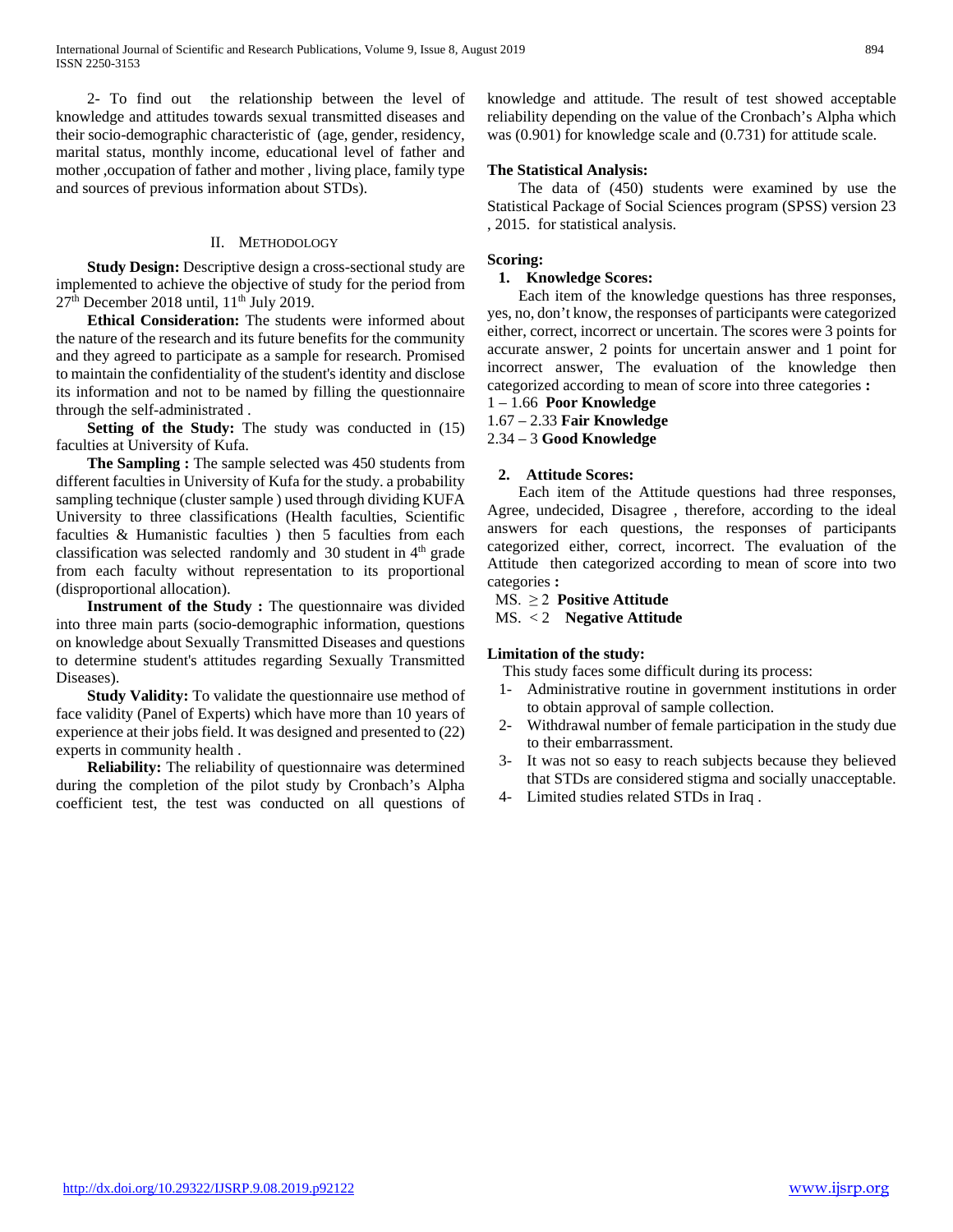2- To find out the relationship between the level of knowledge and attitudes towards sexual transmitted diseases and their socio-demographic characteristic of (age, gender, residency, marital status, monthly income, educational level of father and mother ,occupation of father and mother , living place, family type and sources of previous information about STDs).

# II. METHODOLOGY

**Study Design:** Descriptive design a cross-sectional study are implemented to achieve the objective of study for the period from  $27<sup>th</sup>$  December 2018 until,  $11<sup>th</sup>$  July 2019.

 **Ethical Consideration:** The students were informed about the nature of the research and its future benefits for the community and they agreed to participate as a sample for research. Promised to maintain the confidentiality of the student's identity and disclose its information and not to be named by filling the questionnaire through the self-administrated .

 **Setting of the Study:** The study was conducted in (15) faculties at University of Kufa.

**The Sampling :** The sample selected was 450 students from different faculties in University of Kufa for the study. a probability sampling technique (cluster sample ) used through dividing KUFA University to three classifications (Health faculties, Scientific faculties & Humanistic faculties ) then 5 faculties from each classification was selected randomly and  $30$  student in  $4<sup>th</sup>$  grade from each faculty without representation to its proportional (disproportional allocation).

 **Instrument of the Study :** The questionnaire was divided into three main parts (socio-demographic information, questions on knowledge about Sexually Transmitted Diseases and questions to determine student's attitudes regarding Sexually Transmitted Diseases).

 **Study Validity:** To validate the questionnaire use method of face validity (Panel of Experts) which have more than 10 years of experience at their jobs field. It was designed and presented to (22) experts in community health .

 **Reliability:** The reliability of questionnaire was determined during the completion of the pilot study by Cronbach's Alpha coefficient test, the test was conducted on all questions of knowledge and attitude. The result of test showed acceptable reliability depending on the value of the Cronbach's Alpha which was (0.901) for knowledge scale and (0.731) for attitude scale.

# **The Statistical Analysis:**

 The data of (450) students were examined by use the Statistical Package of Social Sciences program (SPSS) version 23 , 2015. for statistical analysis.

# **Scoring:**

# **1. Knowledge Scores:**

 Each item of the knowledge questions has three responses, yes, no, don't know, the responses of participants were categorized either, correct, incorrect or uncertain. The scores were 3 points for accurate answer, 2 points for uncertain answer and 1 point for incorrect answer, The evaluation of the knowledge then categorized according to mean of score into three categories **:**

# 1 – 1.66 **Poor Knowledge**

1.67 – 2.33 **Fair Knowledge** 

2.34 – 3 **Good Knowledge** 

# **2. Attitude Scores:**

 Each item of the Attitude questions had three responses, Agree, undecided, Disagree , therefore, according to the ideal answers for each questions, the responses of participants categorized either, correct, incorrect. The evaluation of the Attitude then categorized according to mean of score into two categories **:** 

# MS. ≥ 2 **Positive Attitude**

MS. < 2 **Negative Attitude**

# **Limitation of the study:**

This study faces some difficult during its process:

- 1- Administrative routine in government institutions in order to obtain approval of sample collection.
- 2- Withdrawal number of female participation in the study due to their embarrassment.
- 3- It was not so easy to reach subjects because they believed that STDs are considered stigma and socially unacceptable.
- 4- Limited studies related STDs in Iraq .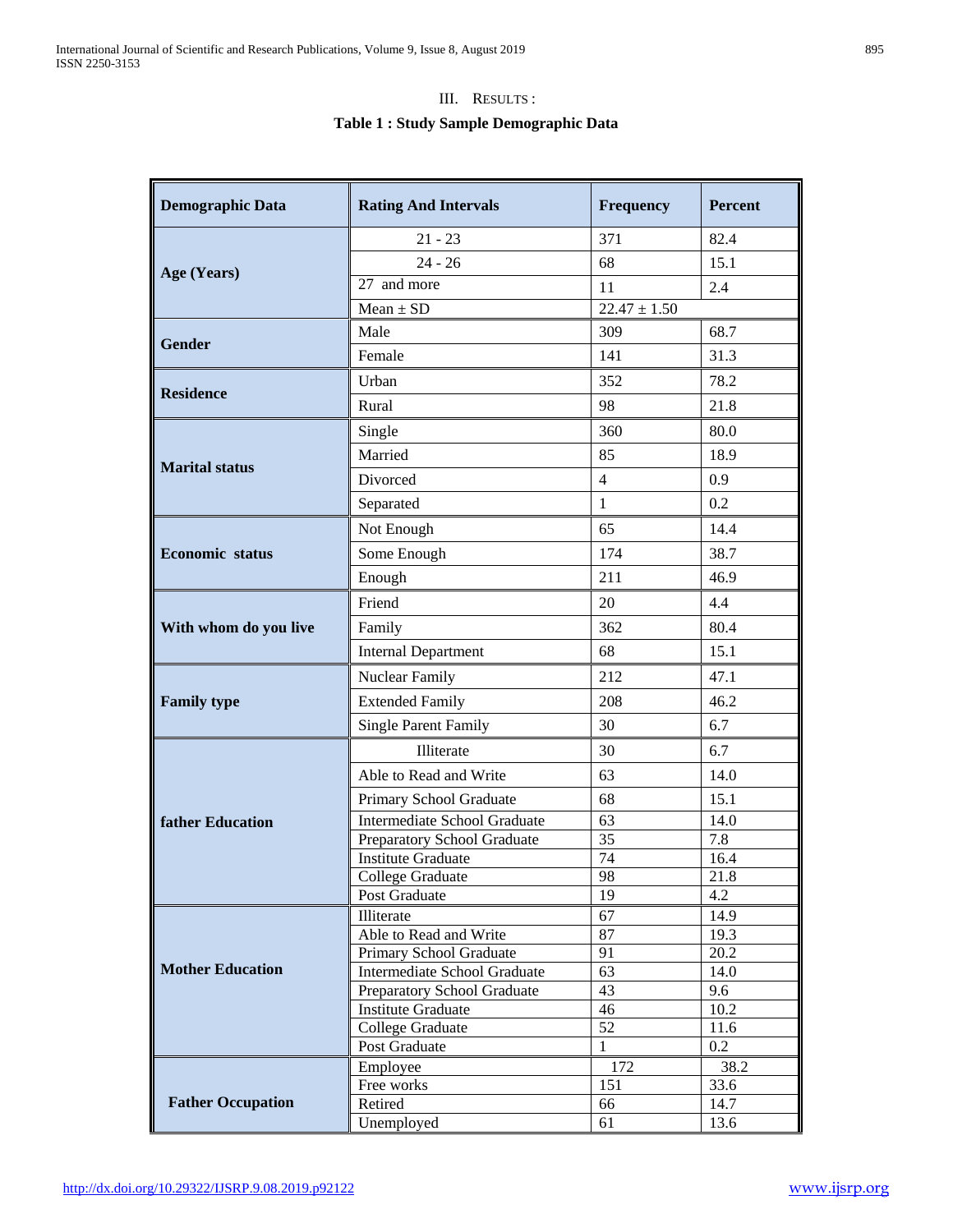# III. RESULTS :

# **Table 1 : Study Sample Demographic Data**

| <b>Demographic Data</b>  | <b>Rating And Intervals</b>                       | Frequency        | <b>Percent</b> |
|--------------------------|---------------------------------------------------|------------------|----------------|
|                          | $21 - 23$                                         | 371              | 82.4           |
|                          | $24 - 26$                                         | 68               | 15.1           |
| Age (Years)              | 27 and more                                       | 11               | 2.4            |
|                          | $Mean \pm SD$                                     | $22.47 \pm 1.50$ |                |
|                          | Male                                              | 309              | 68.7           |
| <b>Gender</b>            | Female                                            | 141              | 31.3           |
|                          | Urban                                             | 352              | 78.2           |
| <b>Residence</b>         | Rural                                             | 98               | 21.8           |
|                          | Single                                            | 360              | 80.0           |
|                          | Married                                           | 85               | 18.9           |
| <b>Marital status</b>    | Divorced                                          | 4                | 0.9            |
|                          | Separated                                         | $\mathbf{1}$     | 0.2            |
|                          | Not Enough                                        | 65               | 14.4           |
| <b>Economic</b> status   |                                                   |                  |                |
|                          | Some Enough                                       | 174              | 38.7           |
|                          | Enough                                            | 211              | 46.9           |
|                          | Friend                                            | 20               | 4.4            |
| With whom do you live    | Family                                            | 362              | 80.4           |
|                          | <b>Internal Department</b>                        | 68               | 15.1           |
|                          | Nuclear Family                                    | 212              | 47.1           |
| <b>Family type</b>       | <b>Extended Family</b>                            | 208              | 46.2           |
|                          | <b>Single Parent Family</b>                       | 30               | 6.7            |
|                          | Illiterate                                        | 30               | 6.7            |
|                          | Able to Read and Write                            | 63               | 14.0           |
|                          | Primary School Graduate                           | 68               | 15.1           |
| <b>father Education</b>  | Intermediate School Graduate                      | 63               | 14.0           |
|                          | Preparatory School Graduate                       | 35               | 7.8            |
|                          | <b>Institute Graduate</b>                         | 74               | 16.4           |
|                          | College Graduate                                  | 98               | 21.8           |
|                          | Post Graduate                                     | 19               | 4.2            |
|                          | Illiterate                                        | 67               | 14.9           |
|                          | Able to Read and Write<br>Primary School Graduate | 87<br>91         | 19.3<br>20.2   |
| <b>Mother Education</b>  | Intermediate School Graduate                      | 63               | 14.0           |
|                          | Preparatory School Graduate                       | 43               | 9.6            |
|                          | <b>Institute Graduate</b>                         | 46               | 10.2           |
|                          | College Graduate                                  | 52               | 11.6           |
|                          | Post Graduate                                     | $\mathbf{1}$     | 0.2            |
|                          | Employee                                          | 172              | 38.2           |
|                          | Free works                                        | 151              | 33.6           |
| <b>Father Occupation</b> | Retired                                           | 66               | 14.7           |
|                          | Unemployed                                        | 61               | 13.6           |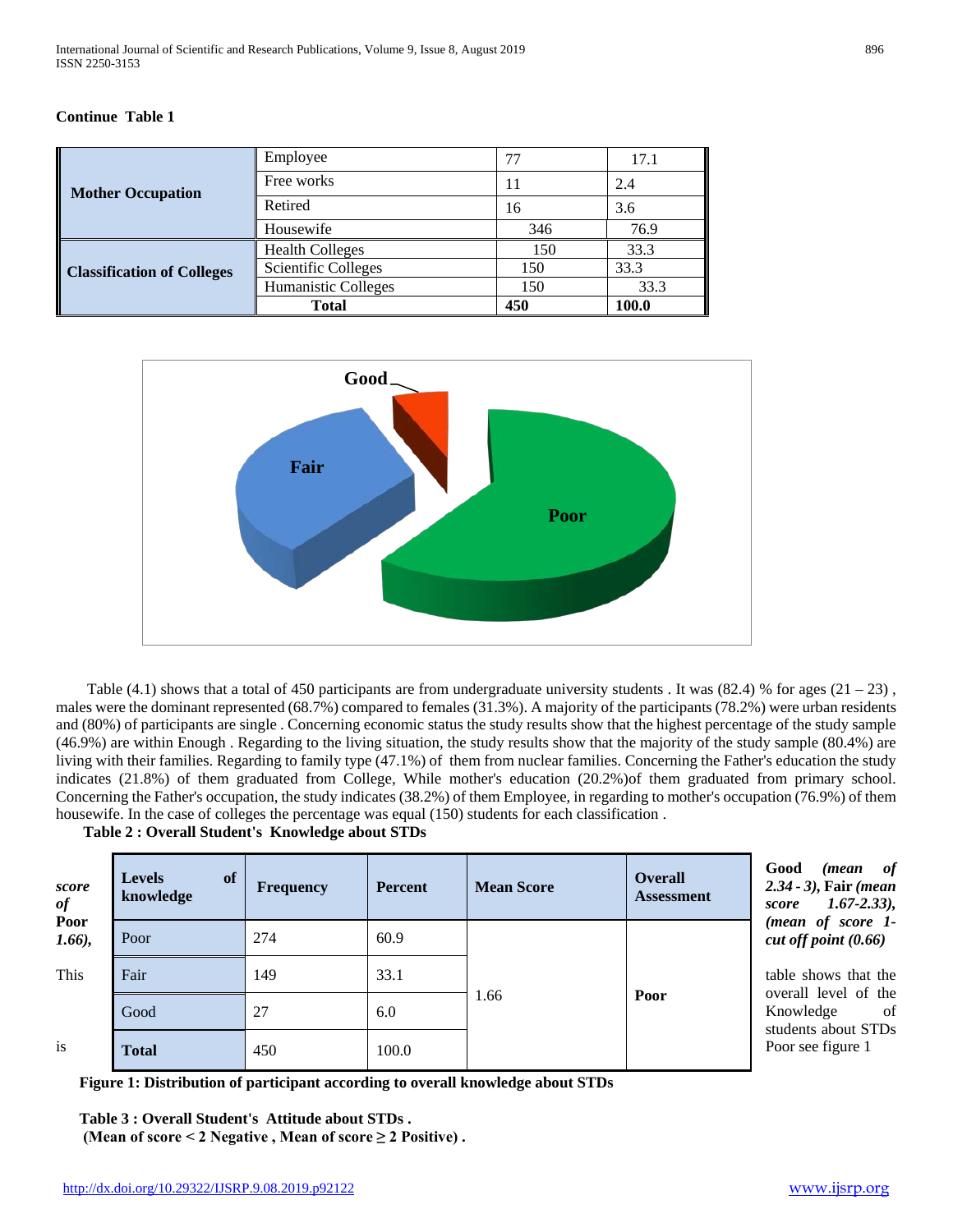# **Continue Table 1**

|                                   | Employee                   | 77  | 17.1  |
|-----------------------------------|----------------------------|-----|-------|
| <b>Mother Occupation</b>          | Free works                 | 11  | 2.4   |
|                                   | Retired                    | 16  | 3.6   |
|                                   | Housewife                  | 346 | 76.9  |
|                                   | <b>Health Colleges</b>     | 150 | 33.3  |
| <b>Classification of Colleges</b> | <b>Scientific Colleges</b> | 150 | 33.3  |
|                                   | Humanistic Colleges        | 150 | 33.3  |
|                                   | <b>Total</b>               | 450 | 100.0 |



Table (4.1) shows that a total of 450 participants are from undergraduate university students. It was  $(82.4)$  % for ages  $(21 - 23)$ , males were the dominant represented (68.7%) compared to females (31.3%). A majority of the participants (78.2%) were urban residents and (80%) of participants are single . Concerning economic status the study results show that the highest percentage of the study sample (46.9%) are within Enough . Regarding to the living situation, the study results show that the majority of the study sample (80.4%) are living with their families. Regarding to family type (47.1%) of them from nuclear families. Concerning the Father's education the study indicates (21.8%) of them graduated from College, While mother's education (20.2%)of them graduated from primary school. Concerning the Father's occupation, the study indicates (38.2%) of them Employee, in regarding to mother's occupation (76.9%) of them housewife. In the case of colleges the percentage was equal (150) students for each classification .

 **Table 2 : Overall Student's Knowledge about STDs**

| score<br>of       | of<br><b>Levels</b><br>knowledge | <b>Frequency</b> | <b>Percent</b> | <b>Mean Score</b> | <b>Overall</b><br><b>Assessment</b> | of<br>Good<br>( <i>mean</i><br>$2.34 - 3$ ), Fair (mean<br>$1.67 - 2.33$ ),<br>score |  |  |  |
|-------------------|----------------------------------|------------------|----------------|-------------------|-------------------------------------|--------------------------------------------------------------------------------------|--|--|--|
| Poor<br>$1.66$ ), | Poor                             | 274              | 60.9           |                   |                                     | (mean of score 1-<br>cut off point $(0.66)$                                          |  |  |  |
| This              | Fair                             | 149              | 33.1           |                   |                                     | table shows that the                                                                 |  |  |  |
|                   | Good                             | 27               | 6.0            | 1.66              | Poor                                | overall level of the<br>Knowledge<br><sub>of</sub>                                   |  |  |  |
| is                | <b>Total</b>                     | 450              | 100.0          |                   |                                     | students about STDs<br>Poor see figure 1                                             |  |  |  |

 **Figure 1: Distribution of participant according to overall knowledge about STDs** 

 **Table 3 : Overall Student's Attitude about STDs . (Mean of score < 2 Negative , Mean of score ≥ 2 Positive) .**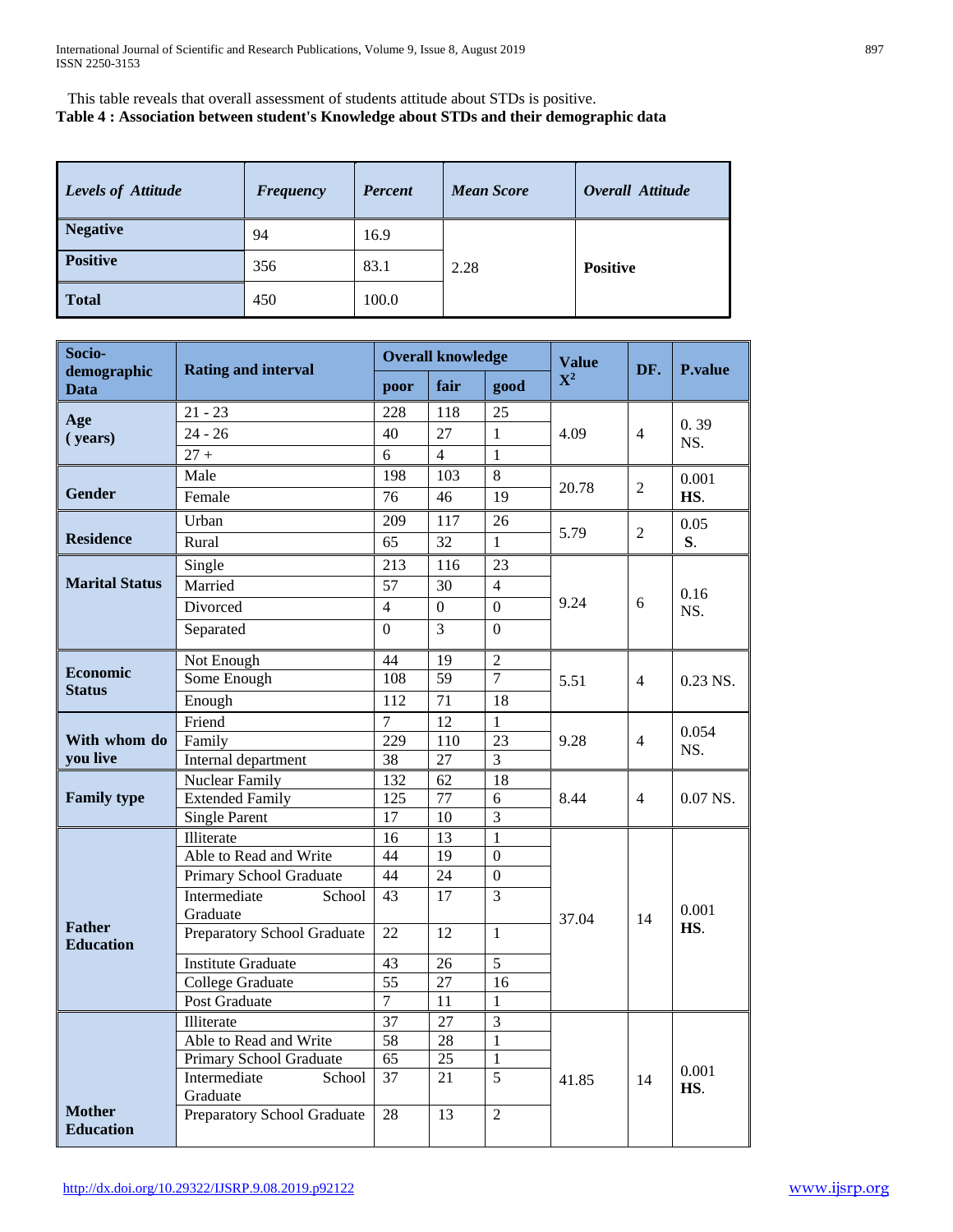This table reveals that overall assessment of students attitude about STDs is positive. **Table 4 : Association between student's Knowledge about STDs and their demographic data**

| Levels of Attitude | <b>Frequency</b> | Percent | <b>Mean Score</b> | Overall Attitude |
|--------------------|------------------|---------|-------------------|------------------|
| <b>Negative</b>    | 94               | 16.9    |                   |                  |
| <b>Positive</b>    | 356              | 83.1    | 2.28              | <b>Positive</b>  |
| Total              | 450              | 100.0   |                   |                  |

| Socio-                            | <b>Rating and interval</b>               | <b>Overall knowledge</b> |                 |                      | <b>Value</b>   | DF.            | <b>P.value</b> |
|-----------------------------------|------------------------------------------|--------------------------|-----------------|----------------------|----------------|----------------|----------------|
| demographic<br><b>Data</b>        |                                          | poor                     | fair            | good                 | $\mathbf{X}^2$ |                |                |
| Age                               | $21 - 23$                                | 228                      | 118             | 25                   |                |                |                |
| (years)                           | $24 - 26$                                | 40                       | 27              | $\mathbf{1}$         | 4.09           | $\overline{4}$ | 0.39<br>NS.    |
|                                   | $\frac{27}{+}$                           | $\overline{6}$           | $\overline{4}$  | $\mathbf{1}$         |                |                |                |
|                                   | Male                                     | 198                      | 103             | 8                    |                |                | 0.001          |
| <b>Gender</b>                     | Female                                   | $\overline{76}$          | $\overline{46}$ | $\overline{19}$      | 20.78          | $\overline{2}$ | HS.            |
|                                   | Urban                                    | 209                      | 117             | 26                   |                |                | 0.05           |
| <b>Residence</b>                  | Rural                                    | 65                       | $\overline{32}$ | $\mathbf{1}$         | 5.79           | $\overline{2}$ | S.             |
|                                   | Single                                   | 213                      | 116             | 23                   |                |                |                |
| <b>Marital Status</b>             | Married                                  | 57                       | 30              | $\overline{4}$       |                |                |                |
|                                   | Divorced                                 | $\overline{4}$           | $\overline{0}$  | $\overline{0}$       | 9.24           | 6              | 0.16<br>NS.    |
|                                   | Separated                                | $\Omega$                 | $\overline{3}$  | $\Omega$             |                |                |                |
|                                   |                                          |                          |                 |                      |                |                |                |
| <b>Economic</b>                   | Not Enough                               | 44                       | 19              | $\overline{2}$       |                |                |                |
| <b>Status</b>                     | Some Enough                              | 108                      | $\overline{59}$ | $\overline{7}$       | 5.51           | $\overline{4}$ | 0.23 NS.       |
|                                   | Enough                                   | 112                      | 71              | 18                   |                |                |                |
|                                   | Friend                                   | $\overline{7}$           | $\overline{12}$ | $\mathbf{1}$         | 9.28           | $\overline{4}$ | 0.054<br>NS.   |
| With whom do<br>you live          | Family                                   | 229<br>38                | 110<br>27       | $\overline{23}$<br>3 |                |                |                |
|                                   | Internal department                      |                          | 62              | 18                   |                |                |                |
| <b>Family type</b>                | Nuclear Family<br><b>Extended Family</b> | 132<br>125               | 77              | 6                    | 8.44           | $\overline{4}$ | $0.07$ NS.     |
|                                   | <b>Single Parent</b>                     | 17                       | 10              | 3                    |                |                |                |
|                                   | Illiterate                               | 16                       | 13              | $\mathbf{1}$         |                |                |                |
|                                   | Able to Read and Write                   | 44                       | $\overline{19}$ | $\overline{0}$       |                |                |                |
|                                   | Primary School Graduate                  | 44                       | $\overline{24}$ | $\overline{0}$       |                |                |                |
|                                   | Intermediate<br>School                   | 43                       | 17              | 3                    |                |                |                |
|                                   | Graduate                                 |                          |                 |                      | 37.04          | 14             | 0.001          |
| <b>Father</b><br><b>Education</b> | Preparatory School Graduate              | $\overline{22}$          | $\overline{12}$ | $\mathbf{1}$         |                |                | HS.            |
|                                   | <b>Institute Graduate</b>                | $\overline{43}$          | $\overline{26}$ | $\overline{5}$       |                |                |                |
|                                   | College Graduate                         | $\overline{55}$          | 27              | 16                   |                |                |                |
|                                   | <b>Post Graduate</b>                     | 7                        | 11              | $\mathbf{1}$         |                |                |                |
|                                   | Illiterate                               | 37                       | 27              | $\overline{3}$       |                |                |                |
|                                   | Able to Read and Write                   | $\overline{58}$          | 28              | $\overline{1}$       |                |                |                |
|                                   | Primary School Graduate                  | $\overline{65}$          | $\overline{25}$ | $\,1\,$              |                |                |                |
|                                   | Intermediate<br>School                   | $\overline{37}$          | 21              | $\overline{5}$       | 41.85          | 14             | 0.001<br>HS.   |
| <b>Mother</b>                     | Graduate                                 |                          |                 |                      |                |                |                |
| <b>Education</b>                  | Preparatory School Graduate              | 28                       | 13              | $\overline{2}$       |                |                |                |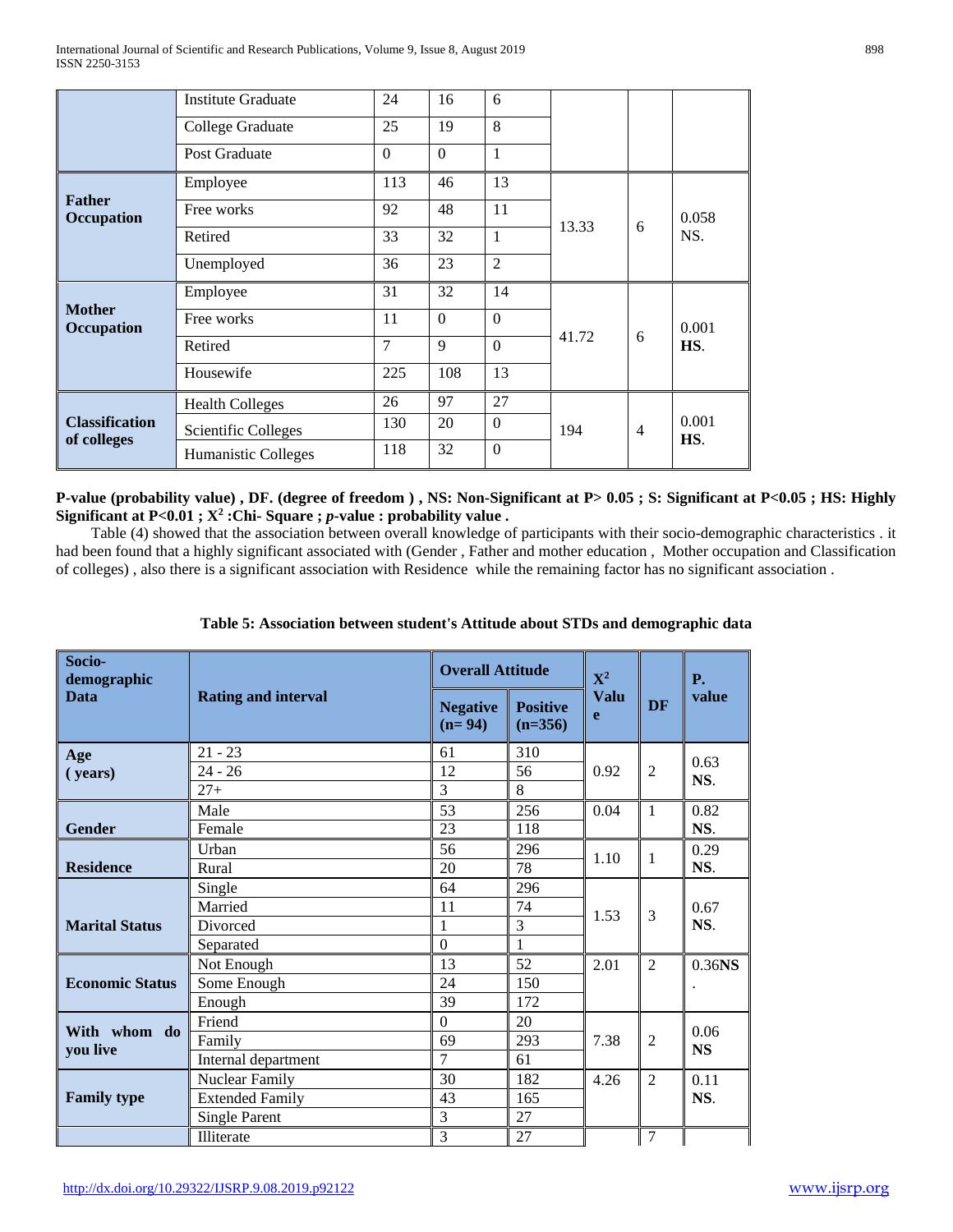|                                      | <b>Institute Graduate</b> | 24             | 16           | 6                |                       |  |              |
|--------------------------------------|---------------------------|----------------|--------------|------------------|-----------------------|--|--------------|
|                                      | College Graduate          | 25             | 19           | 8                |                       |  |              |
|                                      | Post Graduate             | $\Omega$       | $\mathbf{0}$ | 1                |                       |  |              |
|                                      | Employee                  | 113            | 46           | 13               |                       |  |              |
| <b>Father</b><br>Occupation          | Free works                | 92             | 48           | 11               | 13.33<br>6            |  | 0.058<br>NS. |
|                                      | Retired                   | 33             | 32           | 1                |                       |  |              |
|                                      | Unemployed                | 36             | 23           | $\overline{2}$   |                       |  |              |
|                                      | Employee                  | 31             | 32           | 14               |                       |  |              |
| <b>Mother</b><br>Occupation          | Free works                | 11             | $\Omega$     | $\Omega$         | 41.72<br>6            |  | 0.001<br>HS. |
|                                      | Retired                   | $\overline{7}$ | $\mathbf{Q}$ | $\mathbf{0}$     |                       |  |              |
|                                      | Housewife                 | 225            | 108          | 13               |                       |  |              |
|                                      | <b>Health Colleges</b>    | 26             | 97           | 27               |                       |  |              |
| <b>Classification</b><br>of colleges | Scientific Colleges       | 130            | 20           | $\boldsymbol{0}$ | 194<br>$\overline{4}$ |  | 0.001<br>HS. |
|                                      | Humanistic Colleges       | 118            | 32           | $\Omega$         |                       |  |              |

**P-value (probability value) , DF. (degree of freedom ) , NS: Non-Significant at P> 0.05 ; S: Significant at P<0.05 ; HS: Highly Significant at P<0.01 ; X2 :Chi- Square ;** *p***-value : probability value .**

 Table (4) showed that the association between overall knowledge of participants with their socio-demographic characteristics . it had been found that a highly significant associated with (Gender , Father and mother education , Mother occupation and Classification of colleges) , also there is a significant association with Residence while the remaining factor has no significant association .

| Socio-<br>demographic  |                            | <b>Overall Attitude</b>     |                              | ${\bf X}^2$ | <b>DF</b>      | <b>P.</b> |
|------------------------|----------------------------|-----------------------------|------------------------------|-------------|----------------|-----------|
| <b>Data</b>            | <b>Rating and interval</b> | <b>Negative</b><br>$(n=94)$ | <b>Positive</b><br>$(n=356)$ | Valu<br>e   |                | value     |
| Age                    | $21 - 23$                  | 61                          | 310                          |             |                | 0.63      |
| (years)                | $24 - 26$                  | 12                          | 56                           | 0.92        | $\overline{2}$ | NS.       |
|                        | $27+$                      | 3                           | 8                            |             |                |           |
|                        | Male                       | 53                          | 256                          | 0.04        | $\mathbf{1}$   | 0.82      |
| Gender                 | Female                     | 23                          | 118                          |             |                | NS.       |
|                        | Urban                      | 56                          | 296                          | 1.10        | 1              | 0.29      |
| <b>Residence</b>       | Rural                      | 20                          | 78                           |             |                | NS.       |
|                        | Single                     | 64                          | 296                          |             |                |           |
|                        | Married                    | 11                          | 74                           | 1.53        | 3              | 0.67      |
| <b>Marital Status</b>  | Divorced                   | 1                           | 3                            |             |                | NS.       |
|                        | Separated                  | $\overline{0}$              | 1                            |             |                |           |
|                        | Not Enough                 | 13                          | 52                           | 2.01        | $\overline{2}$ | $0.36$ NS |
| <b>Economic Status</b> | Some Enough                | 24                          | 150                          |             |                |           |
|                        | Enough                     | 39                          | 172                          |             |                |           |
|                        | Friend                     | $\Omega$                    | 20                           |             |                |           |
| With whom do           | Family                     | 69                          | 293                          | 7.38        | $\overline{2}$ | 0.06      |
| you live               | Internal department        | $\overline{7}$              | 61                           |             |                | <b>NS</b> |
|                        | Nuclear Family             | 30                          | 182                          | 4.26        | $\overline{2}$ | 0.11      |
| <b>Family type</b>     | <b>Extended Family</b>     | 43                          | 165                          |             |                | NS.       |
|                        | <b>Single Parent</b>       | 3                           | 27                           |             |                |           |
|                        | Illiterate                 | 3                           | 27                           |             | $\overline{7}$ |           |

# **Table 5: Association between student's Attitude about STDs and demographic data**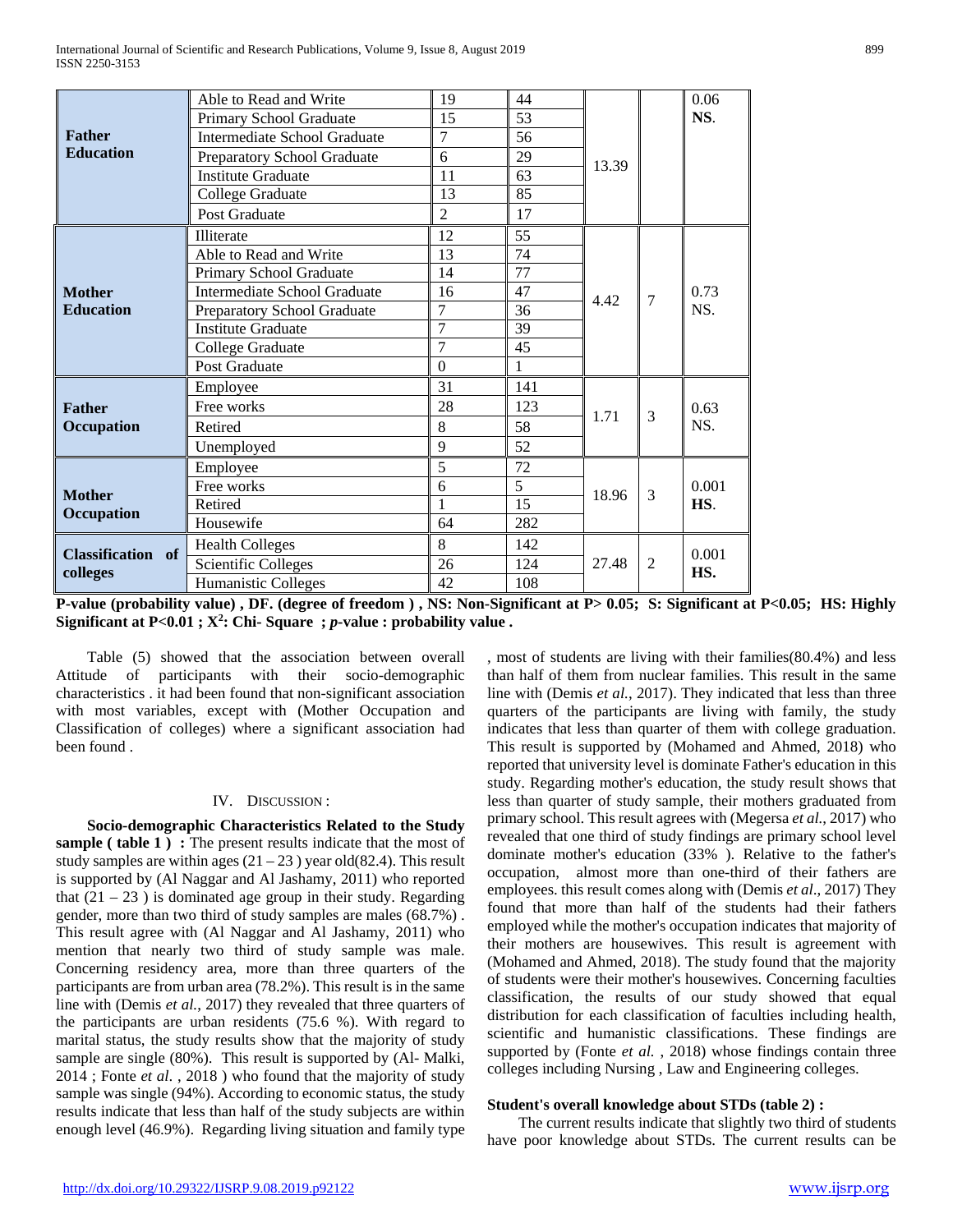|                             | Able to Read and Write              | 19             | 44             |       |                | 0.06        |
|-----------------------------|-------------------------------------|----------------|----------------|-------|----------------|-------------|
|                             | Primary School Graduate             | 15             | 53             |       |                | NS.         |
| <b>Father</b>               | <b>Intermediate School Graduate</b> | 7              | 56             |       |                |             |
| <b>Education</b>            | Preparatory School Graduate         | 6              | 29             | 13.39 |                |             |
|                             | <b>Institute Graduate</b>           | 11             | 63             |       |                |             |
|                             | College Graduate                    | 13             | 85             |       |                |             |
|                             | Post Graduate                       | $\overline{2}$ | 17             |       |                |             |
|                             | Illiterate                          | 12             | 55             |       |                |             |
|                             | Able to Read and Write              | 13             | 74             |       |                |             |
|                             | Primary School Graduate             | 14             | 77             |       | $\overline{7}$ | 0.73<br>NS. |
| <b>Mother</b>               | <b>Intermediate School Graduate</b> | 16             | 47             | 4.42  |                |             |
| <b>Education</b>            | Preparatory School Graduate         | $\overline{7}$ | 36             |       |                |             |
|                             | <b>Institute Graduate</b>           | $\overline{7}$ | 39             |       |                |             |
|                             | College Graduate                    | 7              | 45             |       |                |             |
|                             | Post Graduate                       | $\theta$       |                |       |                |             |
|                             | Employee                            | 31             | 141            |       |                |             |
| <b>Father</b>               | Free works                          | 28             | 123            | 1.71  | 3              | 0.63        |
| Occupation                  | Retired                             | 8              | 58             |       |                | NS.         |
|                             | Unemployed                          | 9              | 52             |       |                |             |
|                             | Employee                            | 5              | 72             |       |                |             |
| <b>Mother</b><br>Occupation | Free works                          | 6              | $\overline{5}$ | 18.96 | $\overline{3}$ | 0.001       |
|                             | Retired                             |                | 15             |       |                | HS.         |
|                             | Housewife                           | 64             | 282            |       |                |             |
|                             | <b>Health Colleges</b>              | 8              | 142            |       |                | 0.001       |
| Classification of           | <b>Scientific Colleges</b>          | 26             | 124            | 27.48 | $\overline{2}$ | HS.         |
| colleges                    | Humanistic Colleges                 | 42             | 108            |       |                |             |

**P-value (probability value) , DF. (degree of freedom ) , NS: Non-Significant at P> 0.05; S: Significant at P<0.05; HS: Highly Significant at P<0.01 ; X2 : Chi- Square ;** *p***-value : probability value .**

 Table (5) showed that the association between overall Attitude of participants with their socio-demographic characteristics . it had been found that non-significant association with most variables, except with (Mother Occupation and Classification of colleges) where a significant association had been found .

# IV. DISCUSSION :

 **Socio-demographic Characteristics Related to the Study sample ( table 1) :** The present results indicate that the most of study samples are within ages  $(21 – 23)$  year old $(82.4)$ . This result is supported by (Al Naggar and Al Jashamy, 2011) who reported that  $(21 – 23)$  is dominated age group in their study. Regarding gender, more than two third of study samples are males (68.7%) . This result agree with (Al Naggar and Al Jashamy, 2011) who mention that nearly two third of study sample was male. Concerning residency area, more than three quarters of the participants are from urban area (78.2%). This result is in the same line with (Demis *et al.*, 2017) they revealed that three quarters of the participants are urban residents (75.6 %). With regard to marital status, the study results show that the majority of study sample are single (80%). This result is supported by (Al- Malki, 2014 ; Fonte *et al*. , 2018 ) who found that the majority of study sample was single (94%). According to economic status, the study results indicate that less than half of the study subjects are within enough level (46.9%). Regarding living situation and family type

, most of students are living with their families(80.4%) and less than half of them from nuclear families. This result in the same line with (Demis *et al.*, 2017). They indicated that less than three quarters of the participants are living with family, the study indicates that less than quarter of them with college graduation. This result is supported by (Mohamed and Ahmed, 2018) who reported that university level is dominate Father's education in this study. Regarding mother's education, the study result shows that less than quarter of study sample, their mothers graduated from primary school. This result agrees with (Megersa *et al.*, 2017) who revealed that one third of study findings are primary school level dominate mother's education (33% ). Relative to the father's occupation, almost more than one-third of their fathers are employees. this result comes along with (Demis *et al*., 2017) They found that more than half of the students had their fathers employed while the mother's occupation indicates that majority of their mothers are housewives. This result is agreement with (Mohamed and Ahmed, 2018). The study found that the majority of students were their mother's housewives. Concerning faculties classification, the results of our study showed that equal distribution for each classification of faculties including health, scientific and humanistic classifications. These findings are supported by (Fonte *et al.* , 2018) whose findings contain three colleges including Nursing , Law and Engineering colleges.

#### **Student's overall knowledge about STDs (table 2) :**

 The current results indicate that slightly two third of students have poor knowledge about STDs. The current results can be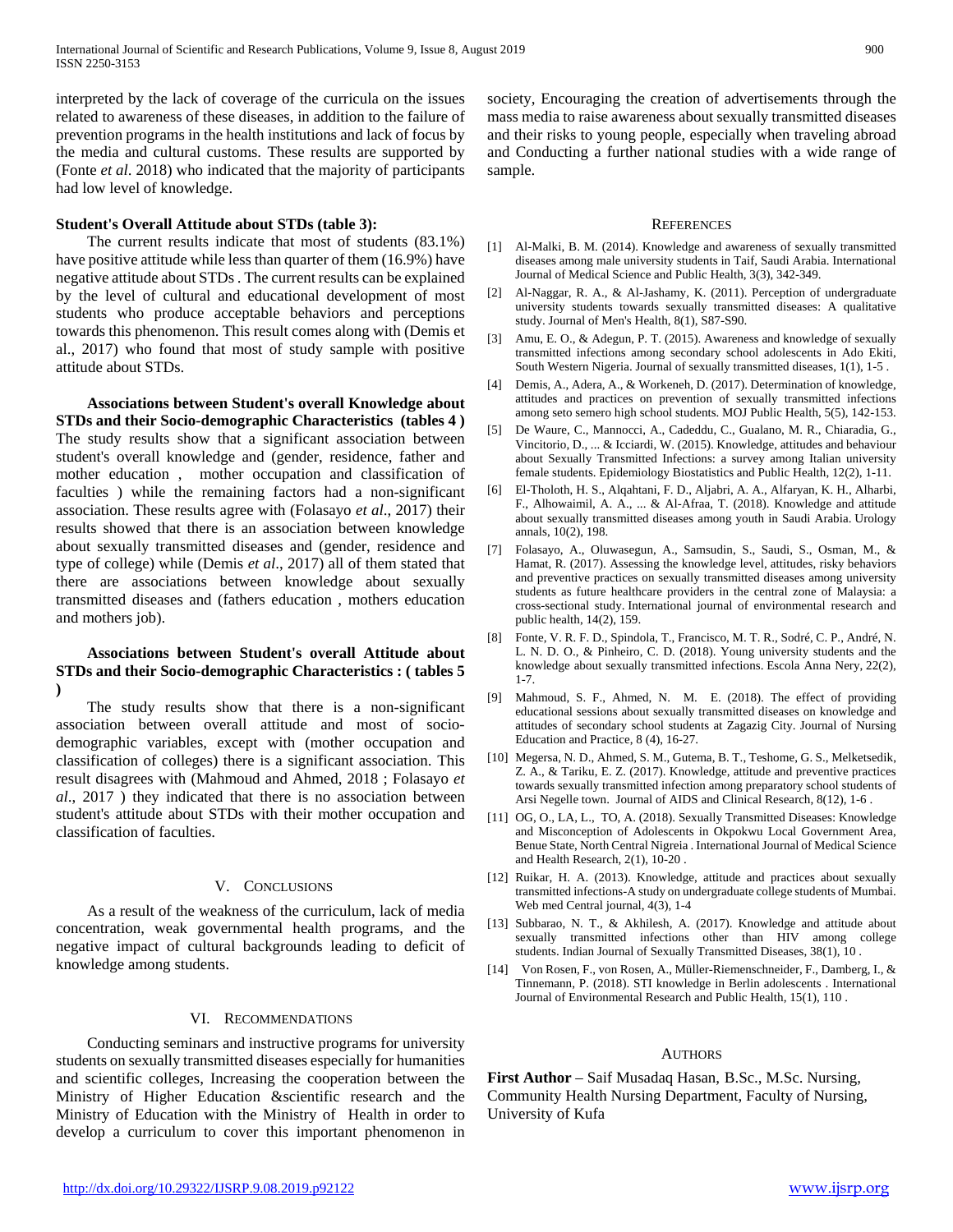interpreted by the lack of coverage of the curricula on the issues related to awareness of these diseases, in addition to the failure of prevention programs in the health institutions and lack of focus by the media and cultural customs. These results are supported by (Fonte *et al*. 2018) who indicated that the majority of participants had low level of knowledge.

#### **Student's Overall Attitude about STDs (table 3):**

 The current results indicate that most of students (83.1%) have positive attitude while less than quarter of them (16.9%) have negative attitude about STDs . The current results can be explained by the level of cultural and educational development of most students who produce acceptable behaviors and perceptions towards this phenomenon. This result comes along with (Demis et al., 2017) who found that most of study sample with positive attitude about STDs.

 **Associations between Student's overall Knowledge about STDs and their Socio-demographic Characteristics (tables 4 )** The study results show that a significant association between student's overall knowledge and (gender, residence, father and mother education , mother occupation and classification of faculties ) while the remaining factors had a non-significant association. These results agree with (Folasayo *et al*., 2017) their results showed that there is an association between knowledge about sexually transmitted diseases and (gender, residence and type of college) while (Demis *et al*., 2017) all of them stated that there are associations between knowledge about sexually transmitted diseases and (fathers education , mothers education and mothers job).

#### **Associations between Student's overall Attitude about STDs and their Socio-demographic Characteristics : ( tables 5 )**

 The study results show that there is a non-significant association between overall attitude and most of sociodemographic variables, except with (mother occupation and classification of colleges) there is a significant association. This result disagrees with (Mahmoud and Ahmed, 2018 ; Folasayo *et al*., 2017 ) they indicated that there is no association between student's attitude about STDs with their mother occupation and classification of faculties.

#### V. CONCLUSIONS

 As a result of the weakness of the curriculum, lack of media concentration, weak governmental health programs, and the negative impact of cultural backgrounds leading to deficit of knowledge among students.

# VI. RECOMMENDATIONS

 Conducting seminars and instructive programs for university students on sexually transmitted diseases especially for humanities and scientific colleges, Increasing the cooperation between the Ministry of Higher Education &scientific research and the Ministry of Education with the Ministry of Health in order to develop a curriculum to cover this important phenomenon in

society, Encouraging the creation of advertisements through the mass media to raise awareness about sexually transmitted diseases and their risks to young people, especially when traveling abroad and Conducting a further national studies with a wide range of sample.

#### **REFERENCES**

- [1] Al-Malki, B. M. (2014). Knowledge and awareness of sexually transmitted diseases among male university students in Taif, Saudi Arabia. International Journal of Medical Science and Public Health, 3(3), 342-349.
- [2] Al-Naggar, R. A., & Al-Jashamy, K. (2011). Perception of undergraduate university students towards sexually transmitted diseases: A qualitative study. Journal of Men's Health, 8(1), S87-S90.
- [3] Amu, E. O., & Adegun, P. T. (2015). Awareness and knowledge of sexually transmitted infections among secondary school adolescents in Ado Ekiti, South Western Nigeria. Journal of sexually transmitted diseases, 1(1), 1-5 .
- [4] Demis, A., Adera, A., & Workeneh, D. (2017). Determination of knowledge, attitudes and practices on prevention of sexually transmitted infections among seto semero high school students. MOJ Public Health, 5(5), 142-153.
- [5] De Waure, C., Mannocci, A., Cadeddu, C., Gualano, M. R., Chiaradia, G., Vincitorio, D., ... & Icciardi, W. (2015). Knowledge, attitudes and behaviour about Sexually Transmitted Infections: a survey among Italian university female students. Epidemiology Biostatistics and Public Health, 12(2), 1-11.
- [6] El-Tholoth, H. S., Alqahtani, F. D., Aljabri, A. A., Alfaryan, K. H., Alharbi, F., Alhowaimil, A. A., ... & Al-Afraa, T. (2018). Knowledge and attitude about sexually transmitted diseases among youth in Saudi Arabia. Urology annals, 10(2), 198.
- [7] Folasayo, A., Oluwasegun, A., Samsudin, S., Saudi, S., Osman, M., & Hamat, R. (2017). Assessing the knowledge level, attitudes, risky behaviors and preventive practices on sexually transmitted diseases among university students as future healthcare providers in the central zone of Malaysia: a cross-sectional study. International journal of environmental research and public health, 14(2), 159.
- [8] Fonte, V. R. F. D., Spindola, T., Francisco, M. T. R., Sodré, C. P., André, N. L. N. D. O., & Pinheiro, C. D. (2018). Young university students and the knowledge about sexually transmitted infections. Escola Anna Nery, 22(2), 1-7.
- [9] Mahmoud, S. F., Ahmed, N. M. E. (2018). The effect of providing educational sessions about sexually transmitted diseases on knowledge and attitudes of secondary school students at Zagazig City. Journal of Nursing Education and Practice, 8 (4), 16-27.
- [10] Megersa, N. D., Ahmed, S. M., Gutema, B. T., Teshome, G. S., Melketsedik, Z. A., & Tariku, E. Z. (2017). Knowledge, attitude and preventive practices towards sexually transmitted infection among preparatory school students of Arsi Negelle town. Journal of AIDS and Clinical Research, 8(12), 1-6 .
- [11] OG, O., LA, L., TO, A. (2018). Sexually Transmitted Diseases: Knowledge and Misconception of Adolescents in Okpokwu Local Government Area, Benue State, North Central Nigreia . International Journal of Medical Science and Health Research, 2(1), 10-20 .
- [12] Ruikar, H. A. (2013). Knowledge, attitude and practices about sexually transmitted infections-A study on undergraduate college students of Mumbai. Web med Central journal, 4(3), 1-4
- [13] Subbarao, N. T., & Akhilesh, A. (2017). Knowledge and attitude about sexually transmitted infections other than HIV among college students. Indian Journal of Sexually Transmitted Diseases, 38(1), 10 .
- [14] Von Rosen, F., von Rosen, A., Müller-Riemenschneider, F., Damberg, I., & Tinnemann, P. (2018). STI knowledge in Berlin adolescents . International Journal of Environmental Research and Public Health, 15(1), 110 .

#### AUTHORS

**First Author** – Saif Musadaq Hasan, B.Sc., M.Sc. Nursing, Community Health Nursing Department, Faculty of Nursing, University of Kufa